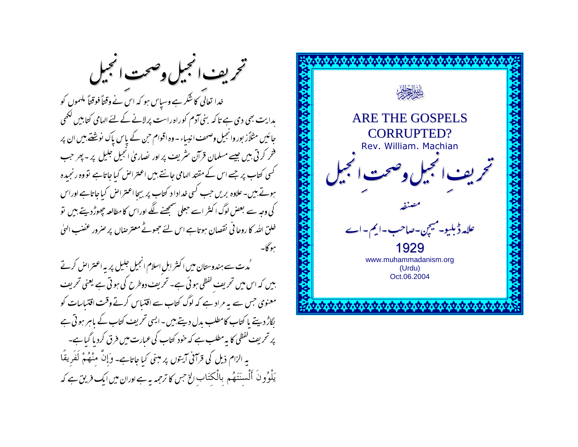تخريف انجيل وصحت الججيل خدا تعالق کا شکر ہے وسیاس ہو کہ اس نے وقتاً فوقتاً ملهموں کو بدایت بھی دی ہے تا کہ بنی آدم کوراہ راست پرلانے کے لئے الہامی کتابیں لکھی جائیں مثلاًز بور وانجیل وصحف انبیاء - وہ اقوام حن کے پاس پاک نوشنے ہیں ان پر فخر کرتی ہیں جیسے مسلمان قرآن سٹریف پر اور نصاریٰ انجیل جلیل پر ۔ پھر جب کسی کتاب پر جسے اس کے مقتد الہامی جانتے بیں اعتراض کیا جاتاہے تووہ رنجیدہ ہوتے ہیں۔علاوہ بریں جب کسی غدادا د کتاب پر بیچا اعتراض کیا جاتاہے اوراس کی وجہ سے بعض لوگ اکنٹر اسے حبعلی سمجھنے لگے اوراس کا مطالعہ جھوڑدیتے ہیں تو خلق الله کا روحا فی نقصان ہوتاہے اس لئے حجھوٹے معترِ صاں پر صرور عضب الهیٰ يبوكا-

،<br>مُدت سے ہندوستان میں اکثر اہل اسلام انجیل جلیل پر یہ اعتراض کرتے بیں کہ اس میں تحریف لفظی ہوئی ہے۔ تحریف دوطرح کی ہوتی ہے یعنی تحریف معنوی حس سے یہ مراد ہے کہ لوگ کتاب سے اقتیاس کرتے وقت اقتیاسات کو لگاڑ دیتے پا کتاب کامطلب بدل دیتے ہیں ۔ایسی تحریف کتاب کے پاہر ہوتی ہے پر تحریف گفظی کا یہ مطلب ہے کہ حود کتاب کی عبارت میں فرق کردیا گیا ہے۔ یہ الزام ذیل کی قرآنی آیتوں پر مبنی کیا جاتاہے۔ وَإِنَّ منْهُمْ لَفَرِيقًا یَلْوُونَ أَلْسنَتَهُم بِالْکتَابِ الْخِ حِس کا ترحمہ یہ ہے اوران میں ایک فریق ہے کہ

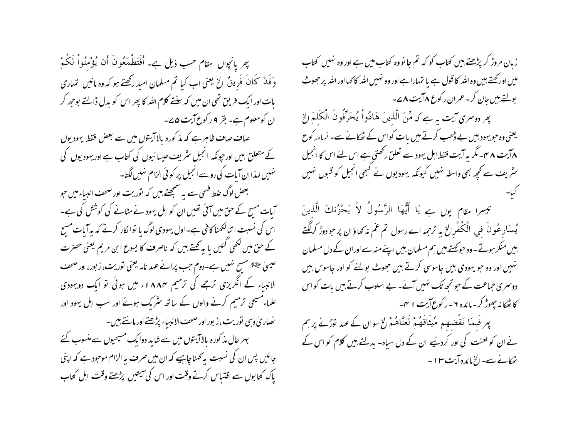بِهِر يانجِواں مقام حسب ذيل ہے۔ أَفْتَطْهَعُونَ أَن يُؤْمِنُواْ لَكُمْ وَقَدْ كَانَ فَرِيقٌ الِخِ يُعني اب كيا تم مسلمان اميد ركھتے ہو كہ وہ مانيں تہاري بات اور ایک فریق تھی ان میں کہ سنتے کلام اللہ کا پھر اس کو بدل ڈالتے بوجھہ کر ان کومعلوم ہے۔ بقر ۹ رکوع آیت ۵۷۔

صاف صاف ظاہرہے کہ مذکورہ بالاآ یتوں میں سے بعض فقط یہودیوں کے متعلق بیں اور حپونکہ انجیل سٹریف عیسائیوں کی کتاب ہے اور ہیودیوں کی نہیں لہذاان آبات کی روسے انجیل پر کو ئی الزام نہیں لگتا۔

بعض لوگ غلط فہمی سے یہ سمجھتے بیں کہ نوریت اور صحف انبیاء میں حبو آبات مسح کے حق میں آئی تھیں ان کو اہل یہود نے مطانے کی کوشش کی ہے۔ اس کی نسبت اتنالکھنا کافی ہے۔اول یہودی لوگ یا توا کار کرتے کہ بہ آیات مسح کے حق میں لکھی گئیں یا ہہ کھتے ہیں کہ ناصرف کا یسوع ابن مریم یعنی حصرت عیسیٰ علیَّتُم مسح نہیں ہے۔دوم حب پرانے عہد نامہ یعنی توریت، زبور، اور صحف الانبیاء کے انگریزی ترجے کی ترمیم ۱۸۸۴ء میں ہوئی تو ایک دویہودی علماء مسیحی ترمیم کرنے والوں کے ساتھ سٹریک ہوئے اور سب اہل یہود اور نصار پی وہی نوریت، زبور اور صحف الانبیاء پڑھتے اور مانتے ہیں۔ بہر حال مذ کورہ بالاآ یتوں میں سے شاید دوایک مسیحیوں سے منسوب کئے جائیں پس ان کی نسبت پیمحنا چاہیے کہ ان میں صرف پہ الزام موحود ہے کہ اپنی پاک کتابوں سے اقتیاس کرتے وقت اور اس کی آیتیں پڑھتے وقت اہل کتاب

زبان مروڑ کر پڑھتے ہیں کتاب کو کہ تم جا نووہ کتاب میں ہے اور وہ نہیں کتاب میں اور محتے بیں وہ اللہ کا قول ہے یا تہاراہے اور وہ نہیں اللہ کا کہا اور اللہ پر جھوٹ بولتے ہیں جان کر۔ عمران رکوع **Xآیت A ے۔** 

پھر روسری آیت یہ ہے کہ مِّنَ الَّذِینَ هَادُواْ یُحَرِّفُونَ الْکَلِمَ الْحَ یعنی وہ حبو یہود بیں بے ڈھب کرتے بیں یات کواس کے ٹھکانے سے۔ نساءر کوع ۸ آیت ۸ <sup>س</sup>ے سگریہ آیت فقط اہل یہود سے تعلق رکھتی ہے اس لئے اس کا انجیل سٹریف سے *کچھ بھ*ی واسطہ نہیں کیونکہ یہودیوں نے کبھی انجیل کو قبول نہیں

تيسرا مقام يوں ہے يَا أَيُّهَا الرَّسُولُ لاَ يَحْزُنكَ الَّذِينَ یُسکارِعُونَ فی الْکُفْرالِخ یہ ترجمہ اسے رسول تم عم نہ کھاؤان پر حو دوڑ کرلگتے بیں منکر ہوتے۔وہ حوکھتے ہیں ہم مسلمان بیں اپنے منہ سے اوران کے دل مسلمان نہیں اور وہ حبو یہودی بیں جاسوسی کرتے ہیں جھوٹ بولنے کو اور جاسوس بیں دوسمری حماعت کے حو تجھ تک نہیں آئے۔ بے اسلوب کرتے ہیں بات کو اس کا ٹھکا نہ چھوڑ کر۔مائدہ ۲۔رکوع آیت ۱ ہم۔

پھر فَبِهَا نَقْضِهِم مِّيتَاقَهُمْ لَعَنَّاهُمْ الخ سوان کے عہد توڑنے پر ہم نے ان کو لعنت کی اور کردیئیے ان کے دل سیاہ۔ بدلتے بیں کلام کو اس کے پھانے سے۔الخ مائدہ آیت ۱۳ -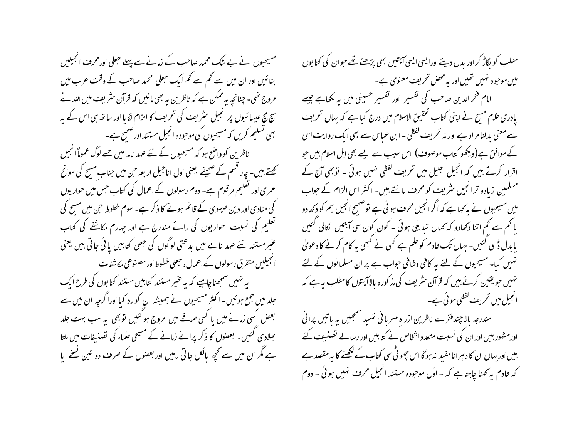مسیحیوں نے بے شک محمد صاحب کے زمانے سے پہلے حعلی اورمحرف انجیلیں بنائیں اور ان میں سے کھم سے کھم ایک حبعلی محمد صاحب کے وقت عرب میں مروج تھی۔چنانچہ یہ ممکن ہے کہ ناظرین یہ بھی مانیں کہ قرآن سٹریف میں اللہ نے چ مچ عیسائیوں پر انجیل سٹریف کی تحریف کا الزام لگایا اور ساتھ ہی اس کے یہ بھی تسلیم کریں کہ مسیحیوں کی موحودہ انجیل مستند اورضحیح ہے۔ ناظرین کوواضح ہو کہ مسیحیوں کے نئے عہد نامہ میں جسے لوگ عموماً انجیل تھتے ہیں۔ چار قسم کے صحیفے یعنی اول اناجیل اربعہ حن میں جناب مسح کی سوانح عمر ی اور تعلیم مرقوم ہے۔ دوم رسولوں کے اعمال کی کتاب جس میں حوار یوں کی منادی اور دین عیسوی کے قائم ہونے کا ذکر ہے۔ سوم خطوط حن میں مسح کی تعلیم کی نسبت حواریوں کی رائے مندرج ہے اور چہارم مکاشفے کی کتاب عنیرمستند سے عہد نامے میں بدعتی لوگوں کی حعلی کتابیں یائی جاتی ہیں یعنی الجيلبيں متفرق رسولوں كےاعمال، حبعلى خطوط اور مصنوعى مكاشفات یہ نہیں سمجھناچاہیے کہ یہ عنیر مستند کتابیں مستند کتابوں کی طرح ایک جلد میں جمع ہوئیں۔ اکثر مسیحیوں نے ہمیشہ ان کورد کیا اوراگرچہ ان میں سے بعض کسی زمانے میں یا کسی علاقے میں مروج ہو گئیں تو بھی یہ سب بہت جلد بھلادی کئیں۔ بعضوں کا ذکر پرانے زمانے کے مسیحی علماء کی تصنیفات میں ملتا ہے مگر ان میں سے تحچہ پالکل جاتی رہیں اور بعضوں کے صرف دو تین نسخے پا

مطلب کو بگاڑ کر اور بدل دیتے اورایسی ایسی آیتیں بھی پڑھتے تھے حبوان کی کتا بوں میں موحود نہیں تھیں اور بہ محض تحریف معنوی ہے۔ امام فخر الدین صاحب کی تفسیر اور تفسیر حسینی میں بہ لکھاہے جیسے یادری علام مسح نے اپنی کتاب تحقیق الاسلام میں درج کیا ہے کہ یہاں تحریف سے معنی بدلنا مراد ہے اور نہ تحریف گفظی ۔ابن عباس سے بھی ایک روایت اسی کے موافق ہے(دیکھو کتاب موصوف) اس سبب سے ایسے بھی اہل اسلام بیں حو اقرار کرتے ہیں کہ انجیل جلیل میں تحریف گفظی نہیں ہوئی ۔ توبھی آج کے مسلمین زیادہ تر انجیل سٹریف کو محرف مانتے ہیں۔ اکثر اس الزام کے حواب میں مسیحیوں نے ہہ کہا ہے کہ اگرانجیل محرف ہوئی ہے توضیح انجیل ہم کو دکھادو یا تھم سے تھم اتنا دکھادو کہ بھال تبدیلی ہوئی ۔ کون ِ کون سی آیتیں گالی گئیں یا بدل ڈالی گئیں۔ حہاں تک خادم کو علم ہے کسی نے کسجی یہ کام کرنے کا دعویٰ نہیں کیا۔ مسیحیوں کے لئے یہ کافی وشافی حواب ہے پر ان مسلمانوں کے لئے نہیں جو یقین کرتے ہیں کہ قرآن سٹریف کی مذکورہ بالاآ یتوں کامطلب یہ ہے کہ انجیل میں تحریف گفظی ہوئی ہے۔

مندرجہ بالا چند فقرے ناظرین ازراہ مہر با فی تہید سمجییں یہ باتیں پرا فی اورمشہور بیں اور ان کی نسبت متعدد اشخاص نے کتابیں اور رسالے تصنیف کئے بیں اور بہاں ان کا دہرانامفید یہ ہوگا اس چھوٹی سی کتاب کے ککھنے کا یہ مقصد ہے کہ خادم ہہ کھنا چاہتاہے کہ - اوّل موحودہ مستند انجیل محرف نہیں ہوئی ۔ دوم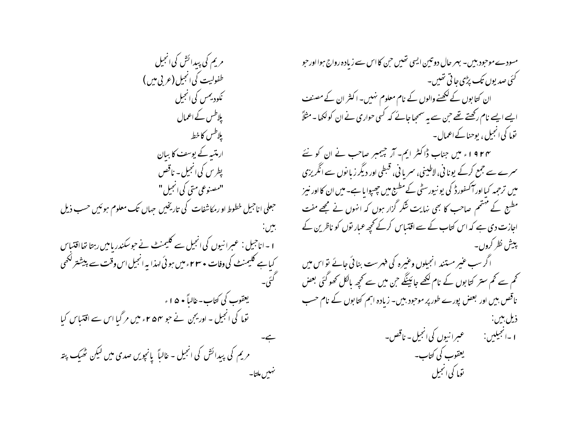مریم کی پیدائش کی انجیل طفولیت کی <sub>ا</sub>نجیل (عربی میں ) ککودیمس کی انجیل پلاطس کے اعمال يلاطس كاخط ارمتسہ کے پوسف کا بیان پطرس کی انجیل - ناقص "مصنوعی متی کی انجیل " حبعلی اناجیل خطوط او رمکاشفات کی تاریخیں جہاں تک معلوم ہوئیں حسب ذیل بين. 1 – اناحبیل : عبیرانیوں کی انجیل سے کلیمنٹ نے حوسکندر پامیں رہتا تھااقتیاس کیاہے کلیمنٹ کی وفات • ۲۳ء میں ہوئی لہذا یہ انجیل اس وقت سے پیشتر لکھی یعقوب کی کتاب-خالیاً • ۵ ا ء توہا کی انجیل ۔ اوریجن نے حبو ۴۵۴ء میں مر گیا اس سے اقتباس کیا مریم کی پیدائش کی انجیل - غالباً یانچویں صدی میں لیکن ٹھیک پتہ تنهبس ملتا-

مسودے موحبود بیں۔ بہر حال دو تین ایسی تھیں حن کا اس سے زیادہ رواج ہوااور حبو گئی صدیوں تک پڑی جا تی تھیں۔ ان کتابوں کے لکھنے والوں کے نام معلوم نہیں۔ اکثر ان کے مصنف ایسے ایسے نام رکھتے تھے حن سے یہ سمجعا جائے کہ کسی حواری نے ان کولکھا۔مثلاً توما کی انجیل ، یوحناکے اعمال۔ ۱۹۲۴ء میں جناب ڈاکٹر ایم- آر چیمبر صاحب نے ان کو نئے سمرے سے جمع کرکے یونا فی، لاطینی، سمریا فی، قبطی اور دیگر زیا نوں سے انگریزی میں ترحمہ کیا اور آکسفورڈ کی یو نیورسٹی کے مطبع میں چھپوا یا ہے۔میں ان کا اور نیز مطبع کے مہتم صاحب کا بھی نہایت شکر گزار ہوں کہ انہوں نے مجھے مفت اجازت دی ہے کہ اس کتاب کے سے اقتساس کرکے کحچھ عمار نوں کو ناظرین کے پیش نظر کروں۔ اگر سب عنیر مستند انجیلوں وعنیرہ کی فہرست بنائی جائے تو اس میں کھم سے کم ستر کتابوں کے نام لکھے جائینگے جن میں سے کحچھ مالکل کھو گئی بعض ناقص بیں اور بعض پورے طور پر موجود بیں۔ زیادہ اہم کتا بوں کے نام حسب ذیل بین: عبرانیوں کی انجیل۔ ناقص۔ **ا** -انجيلين: یعقوب کی کتاب۔ توما کی انجیل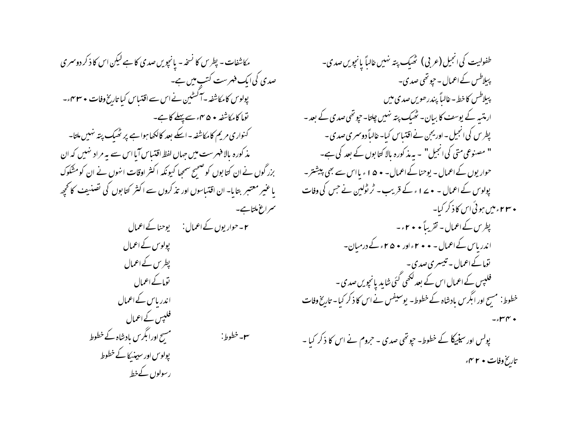مکاشفات - پطرس کا نسخه - یانچویں صدی کا ہے لیکن اس کا ذکر دوسمری صدی کی ایک فہرست کتب میں ہے۔ پولوس کامکاشفہ –آگسٹین نے اس سے اقتساس کیا تاریخ وفات • ۴۳۰ء۔ توما کامکاشفہ • ۴۵ مئے پہلے کا ہے۔ کنواری مریم کامکاشفہ - اسکے بعد کالکھا ہوا ہے پر ٹھیک پتہ نہیں ملتا-مذکورہ بالا فہرست میں جہاں لفظ اقتساس آیا اس سے یہ مراد نہیں کہ ان بزر گوں نے ان کتابوں کو صحیح سمھا کیونکہ اکثر اوقات انہوں نے ان کومشکوک یا عنیر معتبر بتایا- ان اقتباسوں اور تذکروں سے اکثر کتابوں کی تصنیف کانحچھ سمراغ ملتابے۔ **۲**۔ حوار یوں کے اعمال: یوحنا کے اعمال یولوس کےاعمال پطرس کے اعمال توماکے اعمال اندریاس کے اعمال فلپس کے اعمال مسح اورا بگرس مادشاہ کے خطوط ٣-خطوط: پولوس اور سیپنیکا کے خطوط رسولوں کےخط

طفولیت کی انجیل (عربی) تھیک پتہ نہیں غالباً پانچویں صدی۔ پبلاطس کے اعمال - حپو تھی صدی۔ بېيلاطس كاخط - غالياً پندر ھويں صدى ميں ارمتسر کے پوسٹ کا بیان۔ ٹھیک پتہ نہیں چلتا۔ حیوتھی صدی کے بعد -پطرس کی انجیل ۔ اور یجن نے اقتساس کیا۔ غالباً دوسمری صدی ۔ " مصنوعی متی کی انجیل" – یہ مذ کورہ بالا کتابوں کے بعد کی ہے۔ حوار یوں کے اعمال - یوحنا کے اعمال - • ۵ ا ء یا اس سے بھی پیشتر -پولوس کے اعمال ۔ • ۱۷۷۰ کے قریب ۔ ٹر ٹولین نے جس کی وفات **• ۲۳۰ میں ہوئی اس کا ذکر کیا۔** پطرس کے اعمال - تقریباً • • ۲ - -اندر پاس کے اعمال - • • ۲ ءاور • ۵ ۲ء کے درمیان۔ ىقاك اعمال - تىيسرى صدى -فلپس کے اعمال اس کے بعد لکھی گئی شاید یانچویں صدی -خطوط: مسح اور ابگرس بادشاہ کے خطوط۔ یوسیفس نے اس کا ذکر کیا۔ تاریخ وفات  $\epsilon$ rr $\sim$ پولس اور سینیکا کے خطوط۔ حیوتھی صدی ۔ حروم نے اس کا ذکر کیا ۔ تاریخ وفات • ۲ مهم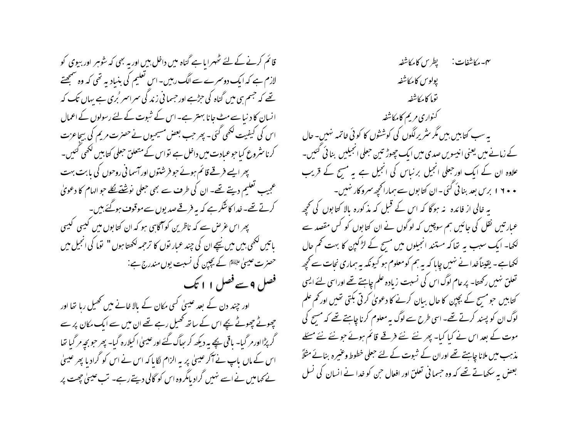قائم کرنے کے لئے ٹھہرا ماہے گناہ میں داخل بین اور یہ بھی کہ شوہر اور بیوی کو لازم ہے کہ ایک دوسمرے سے الگ رہیں۔ اس تعلیم کی بنیادیہ تھی کہ وہ سمجھتے تھے کہ جسم ہی میں گناہ کی حِرُّہے اور حسما فی زند گی سمراسمر 'بری ہے پہاں تک کہ انسان کا دنیا سے مٹ جانا بہتر ہے۔اس کے شبوت کے لئے رسولوں کے اعمال اس کی کیفیت لکھی گئی۔ پھر حب بعض مسیحیوں نے حصرت مریم کی بیچاعزت کرناسٹروع کیا حوعیادت میں داخل ہے تواس کے متعلق حبعلی کتابیں لکھی کئیں۔ پھر ایسے فرقے قائم ہوئے حوفرشتوں اور آسما فی روحوں کی بابت بہت عجیب تعلیم دیتے تھے۔ ان کی طرف سے بھی حعلی نوشنے لگا جو الہام کا دعویٰ کرتے تھے۔ خدا کانشکر ہے کہ بہ فرقے صدیوں سے موقوف ہوگئے ہیں۔ پھر اس عرص سے کہ ناظرین کو آگاہی ہو کہ ان کتابوں میں کیبی کیبی باتیں لکھی بیں میں نیچے ان کی چند عبار نوں کا ترجمہ لکھتا ہوں " توما کی انجیل میں حصرت عیسیٰ علیَّتَا کے بچپن کی نسبت یوں مندرج ہے: فصل 9 سے فصل ۱۱ تک اور چند دن کے بعد عیسیٰ کسی مکان کے بالا خانے میں تھمیل رہا تھا اور چھوٹے چھوٹے بچے اس کے ساتھ کھیل رہے تھے ان میں سے ایک مکان پر سے گر پڑا اور مر گیا۔ یاقی پچے بہ دیکھ کر ہیاگ گئے اور عیسیٰ اکیلارہ گیا۔ پھر حبو بجہ مر گیا تھا اس کے ماں پاپ نے آکر عیسیٰ پر بہ الزام لگا پاکہ اس نے اس کو گرادیا پھر عیسیٰ یے کہا میں نے اسے نہیں گراد پامگروہ اس کو گالی دیتے رہے۔ تب عیسیٰ چھت پر

٣-مكاشفات: پطرس كامكاشفير پولوس كامكاشفه توما كإمكاشفير كنواري مريم كامكاشفه بہ سب کتابیں بیں مگر سثر پرلگوں کی کوششوں کا کوئی خاتمہ نہیں۔ حال کے زمانے میں یعنی انیسویں صدی میں ایک چھوڑ تین حبلی انجیلیں بنائی گئیں۔ علاوہ ان کے ایک اور جعلی انجیل برنیاس کی انجیل ہے یہ مسح کے قریب • • ١ ١ برس بعد بنا ئي گئي -ان کتابوں سے ہماراکحچھ سمرو کار نہیں-یہ خالی از فائدہ یہ ہوگا کہ اس کے قبل کہ مذکورہ بالا کتابوں کی تحجیہ عبارتیں نقل کی جائیں ہم سوچیں کہ لوگوں نے ان کتابوں کو کس مقصد سے لکھا۔ ایک سبب بہ تھاکہ مستند انجیلوں میں مسح کے لڑکپن کا بہت کھم حال لکھاہے ۔ یقیناً خدا نے نہیں چایا کہ یہ ہم کومعلوم ہو کیونکہ یہ ہماری نجات سے کحچھ تعلق نہیں رکھتا۔ پر عام لوگ اس کی نسبت زیادہ علم چاہتے تھے اوراسی لئے ایسی کتابیں حومسح کے بچپن کا حال بیان کرنے کا دعویٰ کرتی بکتی تھیں اور کم علم لوگ ان کو پسند کرتے تھے۔ اسی طرح سے لوگ بہ معلوم کرنا چاہتے تھے کہ مسیح کی موت کے بعد اس نے کیا کیا۔ پھر نئے نئے فرقے قائم ہوئے جو نئے نئے مسئلے مذہب میں ملانا چاہتے تھے اوران کے شبوت کے لئے حبعلی خطوط وعنیرہ بنانے مثلاً بعض بہ سکھاتے تھے کہ وہ حسمانی تعلق اور افعال حن کو غدا نے انسان کی نسل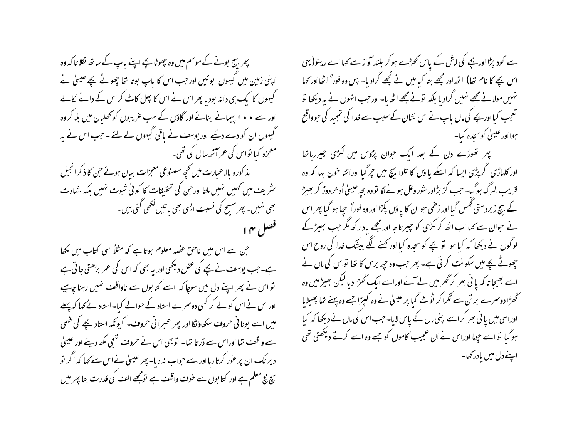پھر بہج بونے کے موسم میں وہ چھوٹا بچے اپنے پاپ کے ساتھ لکلا تا کہ وہ اپنی زمین میں گیہوں بوئیں اور حب اس کا باپ بوتا تھا چھوٹے بچے عیسیٰ نے گیہوں کا ایک ہی دانہ بودیا پھر اس نے اس کا پجل کاٹ کراس کے دانے نکالے اوراسے • • ۱ بییمانے بنائے اور گاؤں کے سب غریبوں کو کھلیان میں بلا کر وہ گیہوں ان کو دے دیئیے اور یوسف نے باقی گیہوں لے لئے ۔ جب اس نے بہ معجزہ کیا تواس کی عمر آٹھ سال کی تھی۔ مذ کورہ بالاعبارت میں تحیے مصنوعی معجزات بیان ہوئے جن کا ذکرانجیل ینٹریف میں تھمیں نہیں ملتا اور حن کی تحقیقات کا کوئی شبوت نہیں بلکہ شہادت بھی نہیں۔ پھر مسیح کی نسبت ایسی بھی باتیں لکھی گئی ہیں۔ فصل م ا

جن سے اس میں ناحق عضہ معلوم ہوتاہے کہ مثلاً اسی کتاب میں لکھا ہے۔جب یوسف نے بچے کی عقل دیکھی اور یہ بھی کہ اس کی عمر بڑھتی جاتی ہے تو اس نے پھر اپنے دل میں سوچا کہ اسے کتابوں سے ناواقف نہیں رہنا چاہیے اوراس نے اس کو لے کر کسی دوسمرے استاد کے حوالے کیا۔ استاد نے کہا کہ پہلے میں اسے یونا ٹی حروف سکھاؤنگا اور پھر عسرا ٹی حروف۔ کیونکہ استاد بچے کی فہمی سے واقف تھا اوراس سے ڈرتا تھا۔ توبھی اس نے حروف نہجی لکھ دیئے اور عیسیٰ دیر تک ان پر عوْر کرتاریااوراسے حواب نہ دیا۔ پھر عیسیٰ نے اس سے کہا کہ اگر نو سچ مج معلم ہے اور کتا بوں سے **حروب و**اقف ہے تومجھے ال<sub>ع</sub>ب کی قدرت بتا پھر میں

سے کود پڑا اور بچے کی لاش کے پاس کھڑے ہو کر بلند آواز سے کہا اے رینو(یہی اس بچے کا نام تھا) اٹھہ اور مجھے بتا کیامیں نے تجھے گرادیا۔ پس وہ فوراً اٹھا اور کہا نہیں مولانے مجھے نہیں گراد یا بلکہ تونے مجھے اٹھا یا- اور حب انہوں نے بہ دیکھا تو تعجب کیااور بچے کی ماں باپ نے اس نشان کے سبب سے خدا کی تہجید کی حبوواقع ہوااور عیسیٰ کوسحدہ کیا۔

پھر تھوڑے دن کے بعد ایک حوان پڑوس میں لکڑی چیرریاتھا اور کلهاڑی گر پڑی ایسا کہ اسکے یا وَں کا تلوا بیچ میں جبرگبا اوراتنا خون بہا کہ وہ قریب الرگ ہو گیا۔ حب گڑ بڑاور شور وعل ہونے لگا قووہ بچہ عیسیٰ اُدھر دوڑ کر بھیڑ کے بیچ زبردستی تھس گیااور زخمی حوان کا یاوَں بکڑااور وہ فوراً اجپا ہو گیا پھر اس نے حوان سے کہا اب اٹھ کر لکڑی کو حبیر تا جا اور مجھے باد رکھ مگر جب بھیڑ کے لوگوں نے دیکھا کہ کیا ہوا تو بچے کو سجدہ کیا اور کھنے لگے بیشک خدا کی روح اس چھوٹے بچے میں سکو نت کرتی ہے۔ پھر جب وہ جھ برس کا تھا تواس کی ماں نے اسے بھیجا تا کہ یا نی بھر کر *گھر* میں لے آئے اوراسے ایک گھڑا دیا لیکن بھیڑ میں وہ گھڑا دوسرے بر تن سے نگرا کر ٹوٹ گیا پر عیسیٰ نے وہ کیپڑا جسے وہ پہنے تھا پھیلایا اوراسی میں یا فی بھر کراسے اپنی ماں کے پاس لایا۔ حب اس کی ماں نے دیکھا کہ کیا ہوگیا تواسے حپوما اوراس نے ان عجیب کاموں کو جسے وہ اسے کرتے دیکھتی تھی اپنے دل میں یادر کھا۔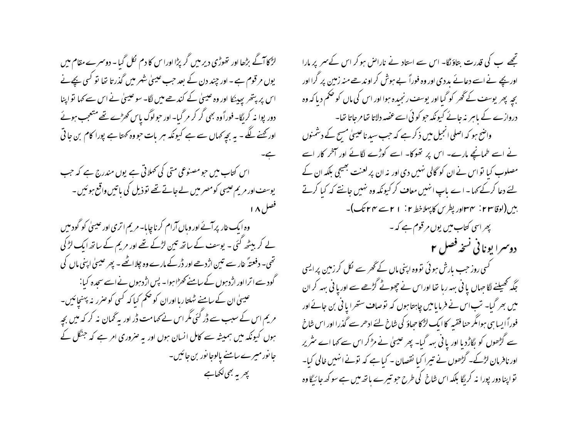لڑکا آگے بڑھا اور تھوڑی دیر میں گر پڑا اوراس کا دم لکل گیا - دوسمرے مقام میں یوں مرقوم ہے۔ اور چند دن کے بعد حب عیسیٰ شہر میں گذرتا تھا تو کسی بچےنے اس پر بتھر پہینکا اور وہ عیسیٰ کے کندھے میں لگا۔ سو عیسیٰ نے اس سے کہا تو اپنا دور بوا نہ کریگا۔ فوراً وہ بھی گر کر مر گیا۔ اور حبولوگ پاس کھڑے تھے متعجب ہوئے اور کھنے لگے۔ یہ بچہ کہاں سے ہے کیونکہ ہر بات حووہ کہتا ہے پورا کام بن حاتی اس کتاب میں حومصنوعی متی کی تھلاتی ہے یوں مندرج ہے کہ حب یوسف اور مریم عیسی کومصر میں لے جاتے تھے توذیل کی باتیں واقع ہوئیں۔ فصل ۱۸ وہ ایک غار پر آئے اور وباں آرام کرنا چاہا۔ مریم اتری اور عیسیٰ کو گود میں لے کر بیٹھ گئی ۔ یوسف کے ساتھ تین لڑکے تھے اور مریم کے ساتھ ایک لڑ کی تھی۔ دفعتہً غار سے تین اژدھے اور ڈر کے مارے وہ چلا اٹھے ۔ پھر عیسیٰ اپنی ماں کی گود سے اترا اور اژد ہوں کے سامنے کھڑا ہوا۔ پس اژد ہوں نے اسے سجدہ کیا : عیسیٰ ان کے سامنے ٹہلتار ہااوران کو حکم کیا کہ کسی کو صرر نہ پہنچائیں۔ مریم اس کے سبب سے ڈر گئی مگر اس نے کہامت ڈر اور یہ گھان نہ کر کہ میں بچہ ہوں کیونکہ میں ہمیشہ سے کامل انسان ہوں اور یہ صروری امر ہے کہ جنگل کے جا نور میرے سامنے پالوجا نور بن جائیں۔ پھر یہ بھی لکھاہے

تجھے ب کی قدرت بتاؤںگا۔ اس سے استاد نے ناراض ہو کر اس کے سمر پر مارا اور بچے نے اسے دعائے بددی اور وہ فوراً بے ہوش کر او ندھے منہ زمین پر گرا اور بچیہ پھر یوسف کے گھر کو گیا اور یوسف رنجیدہ ہوا اور اس کی ماں کو حکم دیا کہ وہ دروازے کے باہر نہ جائے کیونکہ حو کوئی اسے عصہ دلاتا تھا مرجاتا تھا۔ واضح ہو کہ اصلی انجیل میں ذکر ہے کہ جب سید ناعیسیٰ مسج کے دشمنوں نے اسے طمانچے مارے۔ اس پر تھوکا۔ اسے کوڑے لگائے اور آخر کار اسے مصلوب کیا نو اس نے ان کو گالی نہیں دی اور نہ ان پر لعنت بھیجی بلکہ ان کے یئے دعا کرکے کہا - اے پاپ انہیں معاف کر کیونکہ وہ نہیں جانتے کہ کیا کرتے بیں(لوقاس ۲: ۳۳اور پطرس کا پہلاخط ۲: ۱ ۲سے ۴۴ تک)۔ پھر اسی کتاب میں یوں مرقوم ہے کہ ۔ دوسرا یونانی نسخه فصل ۲ گسی روز جب بارش ہوئی تووہ اپنی ماں کے گھر سے لکل کر زمین پرایسی جگہ تھیلنے لگا جہاں یا فی بہہ رہا تھا اوراس نے چھوٹے گڑھے سے اور یا فی بہہ کر ان میں بھر گیا۔ نب اس نے فرمایامیں چاہتا ہوں کہ نوصاف ستھرا یا فی بن جائے اور فوراً ایسا ہی ہوامگر حنا فقیہ کا ایک لڑکا حیاؤ کی شاخ لئے ادھر سے گذرا اور اس شاخ سے گڑھوں کو بگاڑدیا اور یا فی بہہ گیا۔ پھر عیسیٰ نے مڑکر اس سے کہا اسے سٹریر اور نافرمان لڑکے۔ گڑھوں نے تیرا کیا نقصان - کیا ہے کہ تونے انہیں خالی کیا-تواپنا دور پورا نہ کریگا بلکہ اس شاخ کی طرح حو تیرے ہاتھ میں ہے سو کھ جا ئیگا وہ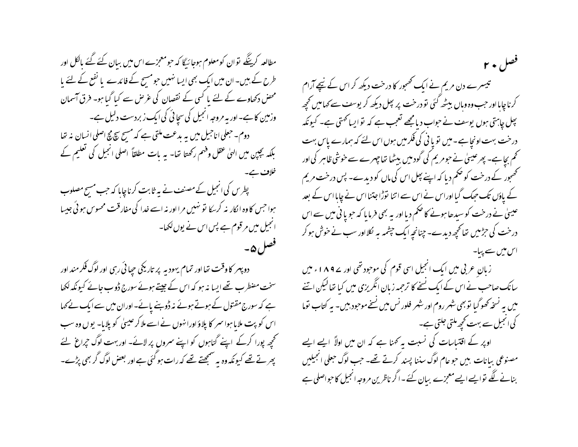مطالعہ کرینگے توان کومعلوم ہوجائیگا کہ حومعمِزے اس میں بیان کئے گئے بالکل اور طرح کے ہیں۔ ان میں ایک بھی ایسا نہیں حومسح کے فائدے یا نفع کے لئے یا محض دکھاوے کے لئے یا کسی کے نقصان کی عرص سے کیا گیا ہو۔ فرق آسمان وزمین کا ہے۔اور یہ مروجہ انجیل کی سچائی کی ایک زبردست دلیل ہے۔ دوم- حعلی اناحبیل میں یہ بدعت ملتی ہے کہ مسیح سچ مچ اصلی انسان نہ تھا بلکہ بچپن میں الہٰیٰ عقل وقعہم رکھتا تھا۔ یہ بات مطلقاً اصلی انجیل کی تعلیم کے خلاف ہے۔ پطرس کی انجیل کے مصنف نے یہ ثابت کرناچاہا کہ جب مسیح مصلوب ہوا جس کا وہ انکار نہ کر یکا تو نہیں مرا اور نہ اسے خدا کی مفارقت محسوس ہو ئی جیسا انجیل میں مرقوم ہے پس اس نے یوں لکھا۔ فصل ہے۔

دو پهر کا وقت تھا اور تمام یهودیه پر تاریکی جِپائی رہی اور لوگ فکر مند اور سخت مضطرب تھے ایسا نہ ہو کہ اس کے جیتے ہوئے سورج ڈوب جانے کیونکہ لکھا ہے کہ سورج مقتول کے ہوتے ہوئے نہ ڈوہنے پائے-اوران میں سے ایک نے کہا اس کو پت ملایا ہوا سمر کا پلاؤ اورانہوں نے اسے ملا کر عیسیٰ کو پلایا۔ یوں وہ سب تحجیے پورا کرکے اپنے گناہوں کو اپنے سمروں پر لائے۔ اور بہت لوگ حپراغ لئے پھر تے تھے کیونکہ وہ یہ سمجھتے تھے کہ رات ہو گئی ہے اور بعض لوگ گر بھی پڑے۔

قصل ۲۰ تبیسرے دن مریم نے ایک تھمجور کا درخت دیکھ کر اس کے نیچے آرام کرناچاہااور حب وہ وہاں بیٹھ <sup>کئ</sup>ی تو درخت پر بھل دیکھ کر یوسف سے <sub>ک</sub>مامیں تح<u>ج</u>ھ بھل چاہتی ہوں یوسف نے حواب دیامجھے تعجب ہے کہ تو ایسانحمتی ہے۔ کیونکہ درخت بہت اونچاہے۔میں تو یا نی کی فکر میں ہوں اس لئے کہ ہمارے پاس بہت کھم بچاہے۔ پھرعیسیٰ نے حومر یم کی گودمیں بیٹھا تعاجہرے سے خوشی ظاہر کی اور تحصحور کے درخت کو حکم دیا کہ اپنے پیل اس کی ماں کو دیدے۔ پس درخت مریم کے یاؤں تک حبک گیا اوراس نے اس سے اتنا نوڑا جتنا اس نے چاہا اس کے بعد عیسیٰ نے درخت کو سیدھا ہونے کا حکم دیا اور یہ بھی فرمایا کہ حویا فی میں سے اس درخت کی حرِّمیں تعالَحَ ٍ دیدے۔ چنانحہ ایک حیثمہ بہ لکلااور سب نے خوش ہو کر اس **م**یں سے پیا۔

زبان عربی میں ایک انجیل اسی قوم کی موجود تھی اور ے ۱۸۹ء میں سانک صاحب نے اس کے ایک نینے کا ترجمہ زبان انگریزی میں کیا تھالیکن اتنے میں یہ نسخہ کھوگیا توبھی شہر روم اور شہر فلور نس میں نسخے موجود بیں۔ یہ کتاب توما کی انجیل سے بہت کحچھ ملتی جلتی ہے۔

اوپر کے اقتیاسات کی نسبت بہ کھنا ہے کہ ان میں اولاً ایسے ایسے مصنوعی بیانات بیں حوعام لوگ سننا پسند کرتے تھے۔ جب لوگ حعلی انجیلیں بنانے لگے توایے ایسے معجزے بیان کئے۔اگر ناظرین مروجہ انجیل کا حبواصلی ہے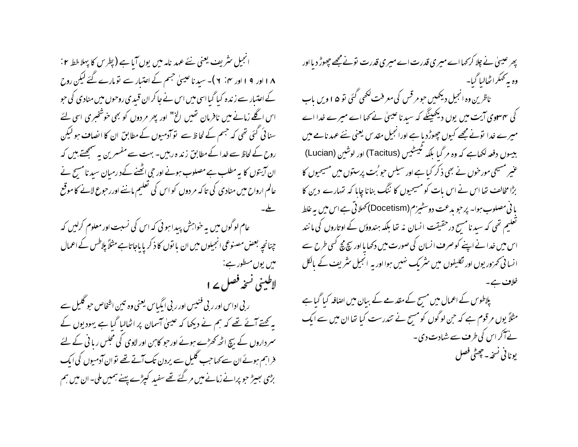انجیل سٹریف یعنی نئے عہد نامہ میں یوں آیا ہے (پطرس کا پہلا خط ۲ : ۱۸اور ۱۹اور ۲۰: ۲)- سید ناعیسیٰ جسم کے اعتبار سے نومارے گئے لیکن روح کے اعتیار سے زندہ کیا گیا اسی میں اس نے جا کر ان قسدی روحوں میں منادی کی حبو اس اگلے زمانے میں نافرمان تھیں الخ" اور پھر مردوں کو بھی خوشخبری اسی لئے سنا ئی گئی تھی کہ جسم کے لحاظ سے تو آدمیوں کے مطابق ان کا انصاف ہو لیکن روح کے لحاظ سے خدا کے مطابق زند ہ رہیں۔ بہت سے مفسرین یہ سمجھتے، پیں کہ ان آیتوں کا یہ مطلب ہے مصلوب ہونے اور حی اٹھنے کے د رمبان سید نامسیح نے عالم ارواح میں منادی کی تا کہ مر دوں کو اس کی تعلیم ماننے اوررحوع لانے کا موقع عام لوگوں میں یہ خواہش پیدا ہوئی کہ اس کی نسبت اور معلوم کرلیں کہ چنانچہ بعض مصنوعی انجیلوں میں ان یا نوں کا ذکر یا باجاتاہے مثلاً پلاطس کے اعمال ميں يوں مسطور ہے: لاطینی نسخہ فصل پے ا ر بی اداس اور ر بی فنیس اور ر بی ایگیاس یعنی وہ تین اشخاص جو گلیل سے بہ کھتے آئے تھے کہ ہم نے دیکھا کہ عیسیٰ آسمان پر اٹھالیا گیا ہے یہودیوں کے سمرداروں کے بیچ اٹھ کھڑے ہوئے اور حبو کابن اور لاوی کی مجلس ریا ٹی کے لئے فراہم ہوئے ان سے کہا جب گلیل سے پردن تک آتے تھے توان آدمیوں کی ایک بڑی بھیڑ حو پرانے زمانے میں مر گئے تھے سفید کیپڑے پہنے ہمیں ملی۔ ان میں ہم

پھر عیسیٰ نے چلا کر <sub>ک</sub>ہا اے میری قدرت اے میری قدرت تونے مجھے چھوڑ دیا اور وہ یہ کمکراٹھالیا گیا۔ ناظرین وہ انجیل دیکھیں حومر قس کی معرفت لکھی گئی تو ۵ ا ویں باب کی سہ سوی آیت میں یوں دیکھینگے کہ سید ناعیسیٰ نے کہا اے میرے خدا اے میرے خدا نونے مجھے کیوں چھوڑدیا ہے اورانجیل مقدس یعنی نئے عہد نامے میں بیسوں دفعہ لکھاہے کہ وہ مر گیا بلکہ ٹیسٹیس (Tacitus) اور لوشین (Lucian) عنیر مسیحی مورخوں نے بھی ذکر کبا ہے اور سیلس حو بُت پرستوں میں مسیحیوں کا بڑا مخالف تھا اس نے اس بات کو مسیحیوں کا ننگ بنانا چایا کہ تہارے دین کا یا فی مصلوب ہوا۔ پر حبو مدعت دوسٹیزم(Docetism) تھلاتی ہے اس میں بہ غلط تعلیم تھی کہ سید نامسح درحقیقت انسان نہ تھا بلکہ ہندوؤں کے اوتاروں کی مانند اس میں خدا نے اپنے کو صرف انسان کی صورت میں دکھا یا اور سچ مچ کسی طرح سے انسانی تحرور یوں اور تکلیفوں میں سٹر یک نہیں ہوا اور یہ انجیل سٹریف کے بالکل پلاطوس کے اعمال میں مسح کے مقدمے کے بیان میں اصافہ کیا گیا ہے مثلاً یوں مرقوم ہے کہ حن لوگوں کو مسح نے تندرست کیا تھا ان میں سے ایک نے آکر اس کی طرف سے شہادت دی۔ يوناني نسخه - حجيثي فصل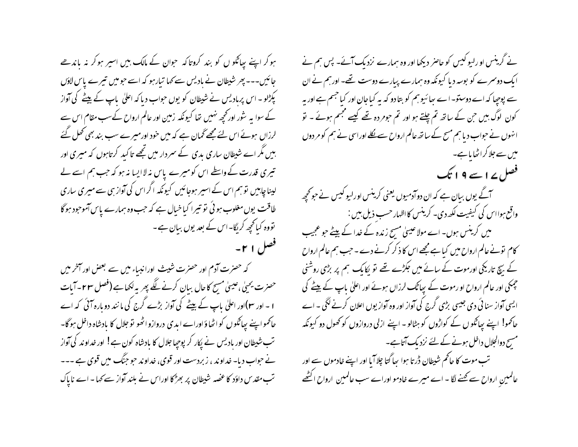ہوکر اپنے پیاگلو ں کو بند کروتاکہ حوان کے مالک بیں اسیر ہوکر نہ باندھے جائیں۔۔۔ پھر شیطان نے بادیس سے کہا تبارہو کہ اسے حبومیں تیرے پاس لاؤں کپڑلو۔ اس پربادیس نے شیطان کو یوں حواب دیا کہ اعلیٰ باپ کے پیٹے کی آواز کے سوا یہ شور اور کچھ نہیں تھا کیونکہ زمین اور عالم ارواح کےسب مقام اس سے لرزاں ہوئے اس لئے مجھے گھان ہے کہ میں خود اورمیرے سب بند بھی تھل گئے بیں مگر اے شیطان ساری بدی کے سمردار میں تجھے تا کید کرتاہوں کہ میری اور تیری قدرت کے واسطے اس کومیرے پاس نہ لاایسا نہ ہو کہ جب ہم اسے لے لینا چاہیں تو ہم اس کے اسیر ہوجائیں کیونکہ اگراس کی آواز ہی سے میری ساری طاقت یوں مغلوب ہو ئی نو تیرا کیاخیال ہے کہ حب وہ ہمارے پاس آموحود ہوگا تووہ کیا تحچیہ کریگا-اس کے بعد یوں بیان ہے-فصل ۲۱-

کہ حصرت آدم اور حصرت شیٹ اورانبیاء میں سے بعض اور آخر میں حصرت یحیٰی ،عیسیٰ مسیح کاحال بیان کرنے لگے پھر یہ لکھاہے (فصل ۲۳۔آبات ا ۔ اور سع)اور اعلیٰ باپ کے بیٹے کی آواز بڑے گرج کی ما نند دوبارہ آئی کہ اے حاکمو اپنے پپاٹکوں کو اٹھاؤاوراے ابدی دروازو اٹھو تو جلال کا مادشاہ داخل ہوگا۔ تب شیطان اور بادیس نے پکار کر پوچیا جلال کا بادشاہ کون ہے! اور خداوند کی آواز نے حواب دیا۔ خداوند ، زبردست اور قوی، خداوند حو جنگ میں قوی ہے ۔۔۔ تب مقدس داؤد کا عصبہ شیطان پر بھڑکا اوراس نے بلند آواز سے کہا ۔ اے ناپاک

نے گرینس او رایو کیس کو حاصر دیکھا اور وہ ہمارے نزدیک آئے۔ پس ہم نے ایک دوسرے کو بوسہ دیا کیونکہ وہ ہمارے پیارے دوست تھے۔ اورہم نے ان سے پوچیا کہ اے دوستو۔ اے ہیا ئیو ہم کو بتا دو کہ بہ کیاجان اور کیا جسم ہے اور ہہ کون لوگ بیں حن کے ساتھ تم چلتے ہو اور تم حومر دہ تھے کیسے مجسم ہوئے ۔ تو انہوں نے حواب دیا ہم مسح کے ساتھ عالم ارواح سے لکلے اوراسی نے ہم کو مر دوں میں سے جلا کر اٹھا یا ہے۔ فصل ۱۷ سے ۹ ا تک آگے یوں بیان ہے کہ ان دوآدمیوں یعنی کرینس اورلیو کیس نے حوکجھہ واقع ہوا اس کی کیفیت لکھ دی۔ کرینس کااظہار حسب ذیل بیں : میں کرینس ہوں۔ اے مولا عیسیٰ مسح زندہ کے خدا کے بیٹے حو عجیب کام تونے عالم ارواح میں کیا ہے مجھے اس کا ذکر کرنے دے ۔ جب ہم عالم ارواح کے بیچ تاریکی اورموت کے سائے میں جکڑے تھے تو پکایک ہم پر بڑی روشنی چمکی اور عالم ارواح او رموت کے بیاٹک لرزاں ہوئے اور اعلیٰ باپ کے بیٹے کی ایسی آواز سنائی دی جیسی بڑی گرج کی آواز اور وہ آوازیوں اعلان کرنے لگی ۔ اے حاکمو! اپنے پیاٹکوں کے کواڑوں کو ہٹالو - اپنے ازلی دروازوں کو تھول دو کیونکہ مسیح دوالجلال داخل ہونے کے لئے نزدیک آتاہے۔ تب موت کا حاکم شبطان ڈر تا ہوا ہیا گتا چلا آیا اور اپنے خادموں سے اور عالمین ارواح سے کھنے لگا - اے میرے خادمو اوراے سب عالمین ارواح اکٹھے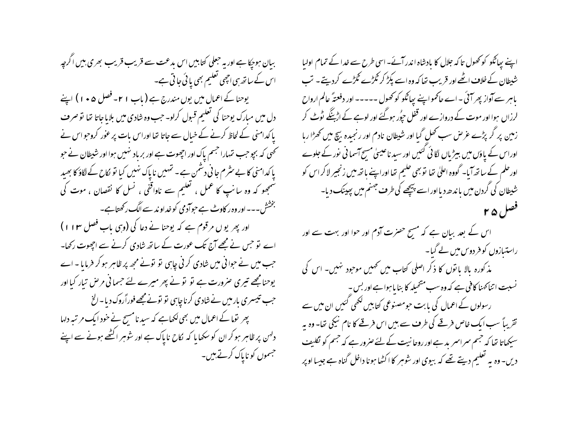بیان ہوجکا ہے اور یہ جعلی کتابیں اس بدعت سے قریب قریب بھری بیں اگرچہ اس کے ساتھ ہی اچھی تعلیم بھی یائی جاتی ہے۔ یوحنا کے اعمال میں یوں مندرج ہے ( باب ٢١ - فصل ۵ • ١ ) اپنے دل میں مبارک یوحنا کی تعلیم قبول کرلو۔ جب وہ شادی میں بلایاجاتا تھا تو صرف یا کدامنی کے لحاظ کرنے کے خیال سے جاتا تھا اوراس بات پر عور کروجو اس نے کھی کہ بجو جب تہارا جسم پاک اور اجھوت ہے اور برباد نہیں ہوا اور شبطان نے حبو یا کدامنی کا بے سثر م جا فی دشمن ہے۔ تہیں نا پاک نہیں کیا تو لکاح کے لگاؤ کا بھید سمجھو کہ وہ سانپ کا عمل ، تعلیم سے ناواقفی ، نسل کا نقصان ، موت کی بخشش۔۔۔اور وہ ر کاوٹ ہے حوادمی کو خداو ند سے الگ رکھتاہے۔ اور پھر یوں مرقوم ہے کہ یوحنا نے دعا کی (وہی باب فصل ۱۱۳) اے تو حس نے مجھے آج تک عورت کے ساتھ شادی کرنے سے اچھوت رکھا۔ جب میں نے حوا فی میں شادی کرنی چاہی تو تونے مجھ پر ظاہر ہو کر فرمایا ۔اے یوحنامجھے تیری صرورت ہے تو تو نے پھر میرے لئے حسمانی مرحل تبار کیا اور حب تیسری بار میں نے شادی کرناچاہی نو نونے مجھے فوراًروک دیا۔الخ پھر توما کے اعمال میں بھی لکھاہے کہ سید نامسیح نے خود ایک مرتبہ دلہا دلہن پر ظاہر ہو کر ان کو سکھایا کہ لکاح ناپاک ہے اور شوہر اکٹھے ہونے سے اپنے جسموں کو ناپاک کرتے ہیں۔

اپنے پیاٹکو کو کھول تاکہ جلال کا بادشاہ اندر آئے۔اسی طرح سے خدا کے تمام اولیا شبطان کے خلاف اٹھے اور قریب تھا کہ وہ اسے پکڑ کر گٹڑے گٹڑے کردیتے ۔ تب باہر سے آواز پھر آئی ۔اے حاکمواپنے پیاٹکو کو کھول ۔۔۔۔۔ اور دفعتہً عالم ارواح لرزاں ہوا اور موت کے دروازے اور قفل حپوُر ہوگئے اور لوہے کے اڑینگے ٹوٹ کر زمین پر گر پڑے عرص سب تھل گیا اور شیطان نادم اور رنجیدہ بیچ میں تھڑا رہا اوراس کے یاؤں میں بیڑیاں لگائی گئیں اور سید ناعیسیٰ مسیح آسمانی نور کے جلوے اورحلم کے ساتھ آیا۔ گووہ اعلیٰ تھا تو بھی حلیم تھا اوراپنے ہاتھ میں زنجیر لاکر اس کو شیطان کی گردن میں باندھ دیااور اسے بییچھے کی طرف جہنم میں پہینک دیا۔ فصل ۲۵

اس کے بعد ببان ہے کہ مسیح حصرت آدم اور حوا اور بہت سے اور راستیازوں کو فر دوس میں لے گیا۔ مذ کورہ بالا یا نوں کا ذکر اصلی کتاب میں تھیں موجود تہیں۔ اس کی نسبت اتناکھنا کافی ہے کہ وہ سب متخیلہ کا بنا یا ہوا ہے اور بس -رسولوں کے اعمال کی بابت حبومصنوعی کتابیں لکھی کئیں ان میں سے تقریباً سب ایک خاص فرقے کی طرف سے بیں اس فرقے کا نام نیکی تھا۔ وہ بہ سیکھاتا تھا کہ جبھم سمراسمر بد ہے اور روحا نیت کے لئے صرور ہے کہ جبھم کو لگلیف دیں۔ وہ یہ تعلیم دیتے تھے کہ بیوی اور شوہر کا اکٹھا ہونا داخل گناہ ہے جیسا اوپر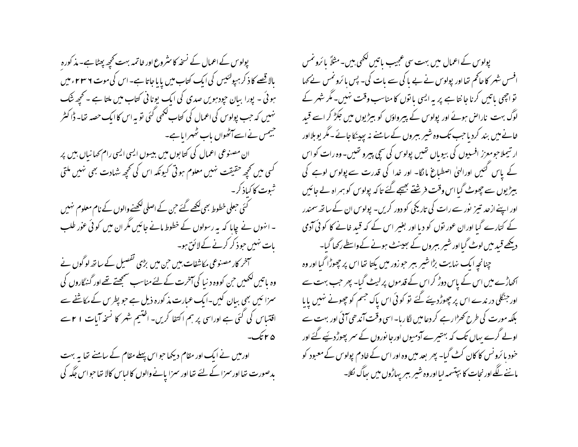پولوس کے اعمال کے نسخہ کا سٹروع اور خاتمہ بہت کجھ پھٹا ہے۔ مذ کورہ بالاقصے کا ذکر ہیوکئیس کی ایک کتاب میں پایاجاتا ہے۔اس کی موت ۲ س ۲ ء میں ہوئی ۔ پورا ببان حپودہویں صدی کی ایک یونا ٹی کتاب میں ملتا ہے ۔ تحچھ شک نہیں کہ جب پولوس کی اعمال کی کتاب لکھی گئی تو یہ اس کا ایک حصہ نخا۔ ڈا کٹر جیمس نےاسےآٹھواں باب ٹھہرا ماہے۔ ان مصنوعی اعمال کی کتابوں میں بیسوں ایسی ایسی رام <sub>ک</sub>ھانیاں بیں پر کسی میں تحچہ حقیقت نہیں معلوم ہوتی کیونکہ اس کی تحچہ شہادت بھی نہیں ملتی شوت کا کیاذ کر۔ کئی حبعلی خطوط بھی <u>لکھے گئے</u> ح<sub>بن</sub> کے اصلی لکھنے والوں کے نام معلوم نہیں ۔ انہوں نے چایا کہ یہ رسولوں کے خطوط مانے جائیں مگر ان میں کو ئی عوْر طلب بات نہیں حوذ کر کرنے کے لائق ہو۔ آخر کار مصنوعی مکاشفات بیں حن میں بڑی تفصیل کے ساتھ لو گوں نے وہ پاتیں لکھیں جن کووہ د نیا کی آخرت کے لئے مناسب سمجھتے تھے اور گنہگاروں کی سمزا ئیں بھی بیان کیں۔ایک عبارت مذ کورہ ذیل ہے جو پطرس کے مکاشفے سے اقتساس کی گئی ہے اوراسی پر ہم اکتفا کریں- اختیم شہر کا نسخہ آیات ۱ ۲سے ۵ ۲ تک-اورمیں نے ایک اور مقام دیکھا حواس پہلے مقام کے سامنے تھا ہہ بہت

بدصورت نھا اور سمزا کے لئے تھا اور سمزا پانے والوں کا لباس کالا تھا حبواس جگہ کی

پولوس کے اعمال میں بہت سی عجیب ماتیں لکھی ہیں۔مثلاً بائرونمس افسس شہر کا حاکم تھااور پولوس نے بے پا کی سے بات کی۔ پس یا ئرونمس نے کھا تواجھی پاتیں کرنا جانتا ہے پر بہ ایسی یا توں کا مناسب وقت نہیں۔ مگر شہر کے لوگ بہت ناراض ہوئے اور پولوس کے پیرواؤں کو بیڑیوں میں جکڑ کر اسے قبید خانے میں بند کردیا جب تک وہ شیر ببروں کے سامنے نہ پہیدنکا جائے۔مگر یوبلااور ار تیملاحومعزز افسپوں کی بیوباں تھیں پولوس کی سچی پیرو تھیں۔وہ رات کواس کے پاس گئیں اورالہٰیٰ اصطباع ما نگا- اور خدا کی قدرت سے پولوس لوہے کی بیڑیوں سے چھوٹ گیا اس وقت فرشنتے بھیجے گئے تاکہ پولوس کو ہمراہ لے جائیں اور اپنے ازحد تبیز نور سے رات کی تاریکی کو دور کریں۔ پولوس ان کے ساتھ سمندر کے کنارے گیا اوران عور نوں کو دیا اور بغیر اس کے کہ قید خانے کا کوئی آدمی دیکھے قبد میں لوٹ گیااور شیر بسروں کے ہعیسنٹ ہونے کےواسطے رکھا گیا۔ چنانچه ایک نهایت بڑا شیر ببر حوزور میں پکتا تھا اس پر چھوڑا گیا اور وہ اکھاڑے میں اس کے پاس دوڑ کراس کے قدموں پر لیٹ گیا۔ پھر جب بہت سے اور جنگلی در ندے اس پر چھوڑ دیئے گئے تو کوئی اس پاک جسم کو چھونے نہیں پایا بلکہ مورت کی طرح کھڑا رہے کر دعامیں لگا رہا۔ اسی وقت آندھی آئی اور بہت سے اولے گرے بہاں تک کہ بہتیرے آدمیوں اورجا نوروں کے سمر پھوڑ دیئیے گئے اور خود یا ئرونس کا کان کٹ گیا۔ بھر بعد میں وہ اور اس کے خادم پولوس کے معبود کو ماننے لگے اور نجات کا بپتسمہ لیااور وہ شیر بسر پہاڑوں میں ہجاگ لکلا۔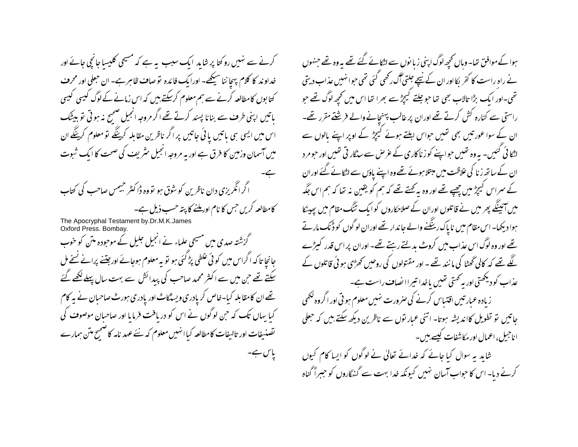کرنے سے نہیں روکتا پر شاید ایک سبب یہ ہے کہ مسیحی کلیسا جانچی جائے اور خداو ند کا کلام بہجا ننا سیکھے۔ اورایک فائدہ تو صاف ظاہر ہے۔ ان حبعلی اور محرف کتابوں کامطالعہ کرنے سے ہم معلوم کرسکتے ہیں کہ اس زمانے کے لوگ کیسی کیسی باتیں اپنی طرف سے بنانا پسند کرتے تھے اگر مروجہ انجیل صحیح نہ ہو ٹی تو بیٹک اس میں ایسی ہی باتیں یا ئی جاتیں پر اگر ناظرین مقابلہ کرینگے تو معلوم کرینگے ان میں آسمان وزمین کا فرق ہے اور یہ مروحہ انجیل سٹریف کی صحت کا ایک شبوت اگرانگریزی دان ناظرین کوشوق ہو تووہ ڈاکٹر جیمس صاحب کی کتاب کامطالعہ کریں جس کا نام اور ملنے کا پتہ حسب ذیل ہے۔

گزشتہ صدی میں مسیحی علماء نے انجیل جلیل کے موحودہ متن کو خوب جانجا تا کہ اگراس میں کو ئی علطی پڑ گئی ہو تو یہ معلوم ہوجائے اورجینے پرانے نیخے مل سکتے تھے حن میں سے اکثر محمد صاحب کی پیدائش سے بہت سال پہلےکھے گئے تھے ان کامقا بلہ کیا-خاص کریادری ویسٹکاٹ اور یادری ہورٹ صاحبان نے پہ کام کیا یہاں تک کہ حن لوگوں نے اس کو دریافت فرمایا اور صاحبان موصوف کی تصنیفات اور تالیفات کامطالعہ کیا انہیں معلوم کہ نئے عہد نامہ کاضحیح متن ہمارے یاس ہے۔

ہوا کے موافق تھا۔ وہاں تحجیہ لوگ اپنی زیا نوں سے لٹکانے گئے تھے یہ وہ تھے جنہوں نے راہ راست کا کفر پکااور ان کے نیچے جلتی آگ رکھی گئی تھی حبوانہیں عذاب دیتی تھی۔اور ایک بڑا تالاب بھی تھا حوچلتے کیجڑ سے بھرا تھا اس میں تحچھ لوگ تھے حو راستی سے کنارہ کش کرتے تھے اوران پر غالب پہنچانے والے فرشنے مقرر تھے۔ ان کے سوا عور تیں بھی تھیں حواس ابلتے ہوئے کیچڑ کے اوپر اپنے مالوں سے لٹکا ئی گئیں۔ یہ وہ تھیں حواینے کو زناکاری کے عرص سے سڈگار ٹی تھیں اور حومر د ان کے ساتھ زنا کی علاظت میں مبتلا ہوئے تھے وہ اپنے پاؤں سے اٹکائے گئے اوران کے سمراس کیپڑ میں چھپے تھے اور وہ بہ کہتے تھے کہ ہم کو یقین نہ تھا کہ ہم اس جگہ میں آئینگے پھر میں نے قاتلوں اوران کے صلاحکاروں کو ایک تنگ مقام میں پیپنکا ہوا دیکھا۔اس مقام میں ناپاک رینگنے والے جاندار تھے اوران لوگوں کو ڈنک مارتے تھے اور وہ لوگ اس عذاب میں کروٹ بدلتے رہتے تھے۔ اوران پر اس قدر کیڑے گئے تھے کہ کالی ٹھٹا کی ما نند تھے ۔ اور مقتولوں کی روحیں ٹھڑی ہو ئی قاتلوں کے عذاب کودیکھتی اور بہ کھتی تھیں یاخدا تیراالصاف راست ہے۔ زیادہ عبارتیں اقتیاس کرنے کی صرورت نہیں معلوم ہو تی اور اگروہ لکھی جاتیں تو تطویل کااندیشہ ہوتا۔ اتنی عبار توں سے ناظرین دیکھ سکتے ہیں کہ حعلی اناجیل، اعمال اور مکاشفات کیسے ہیں۔ شاید یہ سوال کیا جائے کہ خدائے تعالیٰ نے لوگوں کو ایسا کام کیوں کرنے دیا۔ اس کا حواب آسان نہیں کیونکہ خدا بہت سے گنہگاروں کو حببراً گناہ